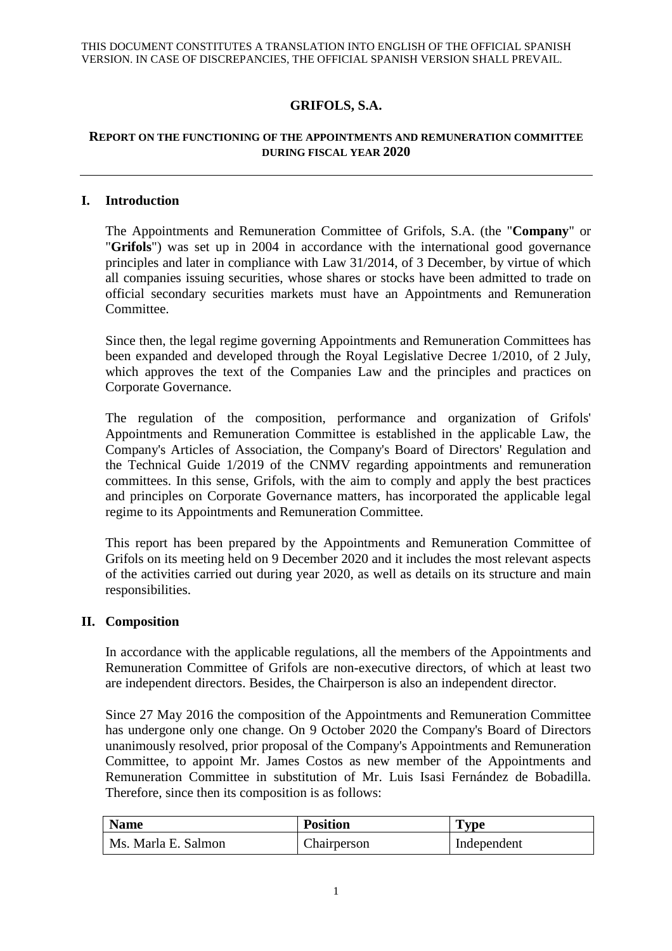# **GRIFOLS, S.A.**

### **REPORT ON THE FUNCTIONING OF THE APPOINTMENTS AND REMUNERATION COMMITTEE DURING FISCAL YEAR 2020**

#### **I. Introduction**

The Appointments and Remuneration Committee of Grifols, S.A. (the "**Company**" or "**Grifols**") was set up in 2004 in accordance with the international good governance principles and later in compliance with Law 31/2014, of 3 December, by virtue of which all companies issuing securities, whose shares or stocks have been admitted to trade on official secondary securities markets must have an Appointments and Remuneration Committee.

Since then, the legal regime governing Appointments and Remuneration Committees has been expanded and developed through the Royal Legislative Decree 1/2010, of 2 July, which approves the text of the Companies Law and the principles and practices on Corporate Governance.

The regulation of the composition, performance and organization of Grifols' Appointments and Remuneration Committee is established in the applicable Law, the Company's Articles of Association, the Company's Board of Directors' Regulation and the Technical Guide 1/2019 of the CNMV regarding appointments and remuneration committees. In this sense, Grifols, with the aim to comply and apply the best practices and principles on Corporate Governance matters, has incorporated the applicable legal regime to its Appointments and Remuneration Committee.

This report has been prepared by the Appointments and Remuneration Committee of Grifols on its meeting held on 9 December 2020 and it includes the most relevant aspects of the activities carried out during year 2020, as well as details on its structure and main responsibilities.

#### **II. Composition**

In accordance with the applicable regulations, all the members of the Appointments and Remuneration Committee of Grifols are non-executive directors, of which at least two are independent directors. Besides, the Chairperson is also an independent director.

Since 27 May 2016 the composition of the Appointments and Remuneration Committee has undergone only one change. On 9 October 2020 the Company's Board of Directors unanimously resolved, prior proposal of the Company's Appointments and Remuneration Committee, to appoint Mr. James Costos as new member of the Appointments and Remuneration Committee in substitution of Mr. Luis Isasi Fernández de Bobadilla. Therefore, since then its composition is as follows:

| <b>Name</b>         | <b>Position</b> | <b>Type</b> |
|---------------------|-----------------|-------------|
| Ms. Marla E. Salmon | Chairperson     | Independent |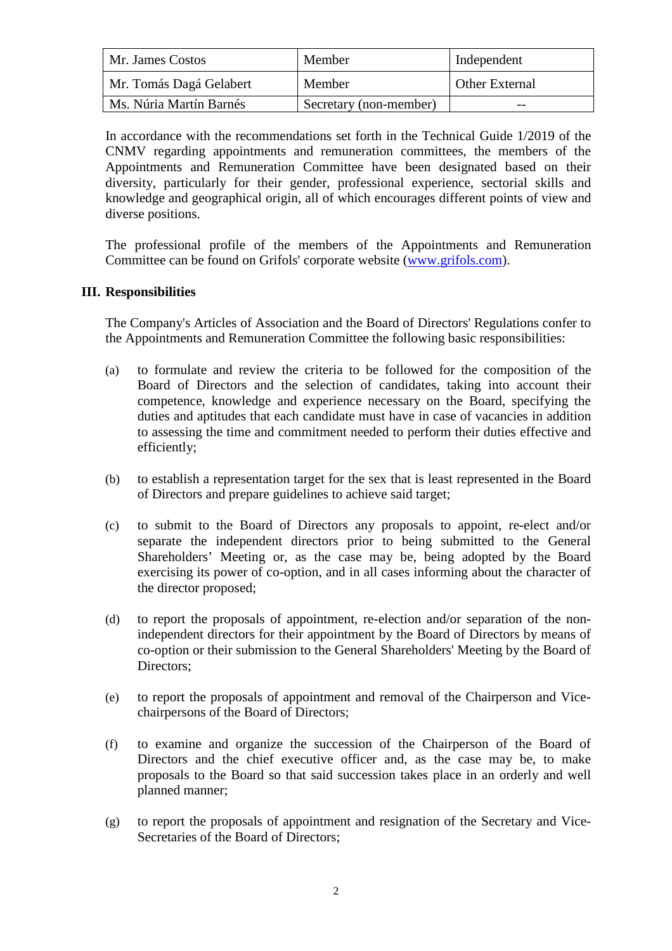| Mr. James Costos        | Member                 | Independent           |
|-------------------------|------------------------|-----------------------|
| Mr. Tomás Dagá Gelabert | Member                 | <b>Other External</b> |
| Ms. Núria Martín Barnés | Secretary (non-member) | $- -$                 |

In accordance with the recommendations set forth in the Technical Guide 1/2019 of the CNMV regarding appointments and remuneration committees, the members of the Appointments and Remuneration Committee have been designated based on their diversity, particularly for their gender, professional experience, sectorial skills and knowledge and geographical origin, all of which encourages different points of view and diverse positions.

The professional profile of the members of the Appointments and Remuneration Committee can be found on Grifols' corporate website (www.grifols.com).

#### **III. Responsibilities**

The Company's Articles of Association and the Board of Directors' Regulations confer to the Appointments and Remuneration Committee the following basic responsibilities:

- (a) to formulate and review the criteria to be followed for the composition of the Board of Directors and the selection of candidates, taking into account their competence, knowledge and experience necessary on the Board, specifying the duties and aptitudes that each candidate must have in case of vacancies in addition to assessing the time and commitment needed to perform their duties effective and efficiently;
- (b) to establish a representation target for the sex that is least represented in the Board of Directors and prepare guidelines to achieve said target;
- (c) to submit to the Board of Directors any proposals to appoint, re-elect and/or separate the independent directors prior to being submitted to the General Shareholders' Meeting or, as the case may be, being adopted by the Board exercising its power of co-option, and in all cases informing about the character of the director proposed;
- (d) to report the proposals of appointment, re-election and/or separation of the nonindependent directors for their appointment by the Board of Directors by means of co-option or their submission to the General Shareholders' Meeting by the Board of Directors;
- (e) to report the proposals of appointment and removal of the Chairperson and Vicechairpersons of the Board of Directors;
- (f) to examine and organize the succession of the Chairperson of the Board of Directors and the chief executive officer and, as the case may be, to make proposals to the Board so that said succession takes place in an orderly and well planned manner;
- (g) to report the proposals of appointment and resignation of the Secretary and Vice-Secretaries of the Board of Directors;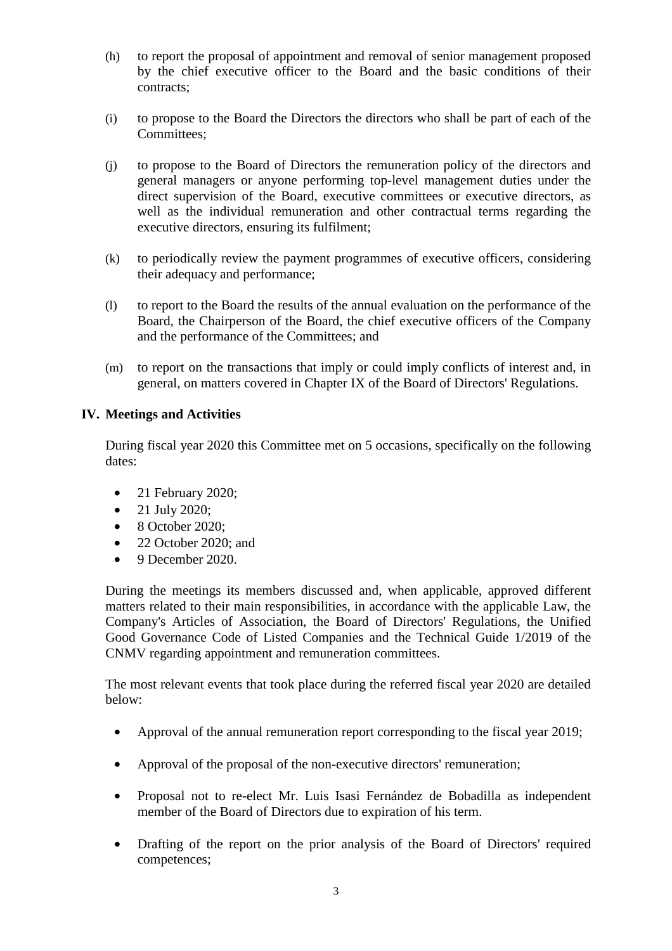- (h) to report the proposal of appointment and removal of senior management proposed by the chief executive officer to the Board and the basic conditions of their contracts;
- (i) to propose to the Board the Directors the directors who shall be part of each of the Committees;
- (j) to propose to the Board of Directors the remuneration policy of the directors and general managers or anyone performing top-level management duties under the direct supervision of the Board, executive committees or executive directors, as well as the individual remuneration and other contractual terms regarding the executive directors, ensuring its fulfilment;
- (k) to periodically review the payment programmes of executive officers, considering their adequacy and performance;
- (l) to report to the Board the results of the annual evaluation on the performance of the Board, the Chairperson of the Board, the chief executive officers of the Company and the performance of the Committees; and
- (m) to report on the transactions that imply or could imply conflicts of interest and, in general, on matters covered in Chapter IX of the Board of Directors' Regulations.

## **IV. Meetings and Activities**

During fiscal year 2020 this Committee met on 5 occasions, specifically on the following dates:

- 21 February 2020;
- 21 July 2020;
- 8 October 2020;
- 22 October 2020; and
- 9 December 2020.

During the meetings its members discussed and, when applicable, approved different matters related to their main responsibilities, in accordance with the applicable Law, the Company's Articles of Association, the Board of Directors' Regulations, the Unified Good Governance Code of Listed Companies and the Technical Guide 1/2019 of the CNMV regarding appointment and remuneration committees.

The most relevant events that took place during the referred fiscal year 2020 are detailed below:

- Approval of the annual remuneration report corresponding to the fiscal year 2019;
- Approval of the proposal of the non-executive directors' remuneration;
- Proposal not to re-elect Mr. Luis Isasi Fernández de Bobadilla as independent member of the Board of Directors due to expiration of his term.
- Drafting of the report on the prior analysis of the Board of Directors' required competences;